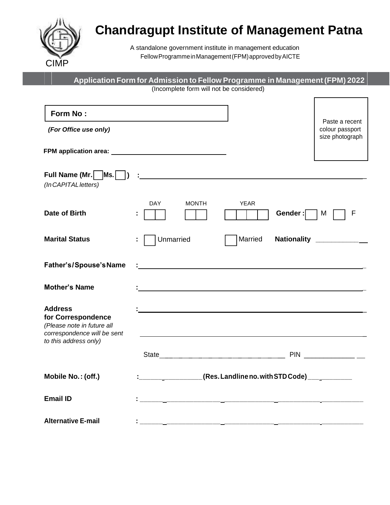

# **Chandragupt Institute of Management Patna**

A standalone government institute in management education FellowProgrammeinManagement(FPM)approvedbyAICTE

| Form No:                                                                                                                   |            |              |                                                               |         |                                                      |
|----------------------------------------------------------------------------------------------------------------------------|------------|--------------|---------------------------------------------------------------|---------|------------------------------------------------------|
| (For Office use only)                                                                                                      |            |              |                                                               |         | Paste a recent<br>colour passport<br>size photograph |
|                                                                                                                            |            |              |                                                               |         |                                                      |
| (In CAPITAL letters)                                                                                                       |            |              |                                                               |         |                                                      |
| Date of Birth                                                                                                              | <b>DAY</b> | <b>MONTH</b> | <b>YEAR</b>                                                   | Gender: | M                                                    |
| <b>Marital Status</b>                                                                                                      | Unmarried  |              | Married                                                       |         | Nationality ____________                             |
| Father's/Spouse's Name                                                                                                     |            |              |                                                               |         |                                                      |
| <b>Mother's Name</b>                                                                                                       |            |              |                                                               |         |                                                      |
| <b>Address</b><br>for Correspondence<br>(Please note in future all<br>correspondence will be sent<br>to this address only) |            |              |                                                               |         |                                                      |
|                                                                                                                            |            |              |                                                               |         | <b>PIN <i>PIN</i></b>                                |
| Mobile No.: (off.)                                                                                                         |            |              | ________________(Res. Landline no. with STD Code) ___________ |         |                                                      |
| <b>Email ID</b>                                                                                                            |            |              |                                                               |         |                                                      |
| <b>Alternative E-mail</b>                                                                                                  |            |              |                                                               |         |                                                      |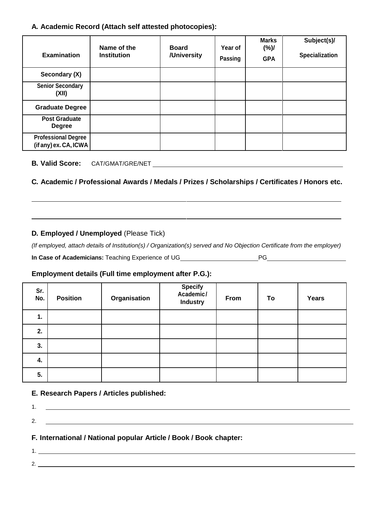#### **A. Academic Record (Attach self attested photocopies):**

| <b>Examination</b>                                  | Name of the<br><b>Institution</b> | <b>Board</b><br>/University | Year of<br>Passing | <b>Marks</b><br>(%)/<br><b>GPA</b> | Subject(s)/<br>Specialization |
|-----------------------------------------------------|-----------------------------------|-----------------------------|--------------------|------------------------------------|-------------------------------|
| Secondary (X)                                       |                                   |                             |                    |                                    |                               |
| <b>Senior Secondary</b><br>(XII)                    |                                   |                             |                    |                                    |                               |
| <b>Graduate Degree</b>                              |                                   |                             |                    |                                    |                               |
| <b>Post Graduate</b><br><b>Degree</b>               |                                   |                             |                    |                                    |                               |
| <b>Professional Degree</b><br>(if any) ex. CA, ICWA |                                   |                             |                    |                                    |                               |

#### **B. Valid Score:** CAT/GMAT/GRE/NET

#### **C. Academic / Professional Awards / Medals / Prizes / Scholarships / Certificates / Honors etc.**

#### **D. Employed / Unemployed** (Please Tick)

*(If employed, attach details of Institution(s) / Organization(s) served and No Objection Certificate from the employer)*

| In Case of Academicians: Teaching Experience of UG_ |
|-----------------------------------------------------|
|-----------------------------------------------------|

### **Employment details (Full time employment after P.G.):**

| Sr.<br>No. | <b>Position</b> | Organisation | Specify<br>Academic/<br><b>Industry</b> | From | To | Years |
|------------|-----------------|--------------|-----------------------------------------|------|----|-------|
| 1.         |                 |              |                                         |      |    |       |
| 2.         |                 |              |                                         |      |    |       |
| 3.         |                 |              |                                         |      |    |       |
| 4.         |                 |              |                                         |      |    |       |
| 5.         |                 |              |                                         |      |    |       |

#### **E. Research Papers / Articles published:**

2.

1. **In the contract of the contract of the contract of the contract of the contract of the contract of the contract of the contract of the contract of the contract of the contract of the contract of the contract of the con** 2.  $\qquad \qquad$ **F. International / National popular Article / Book / Book chapter:** 1.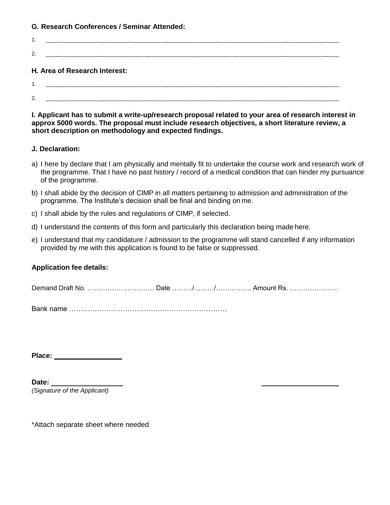#### **G. Research Conferences / Seminar Attended:**

| 1.             |                               |
|----------------|-------------------------------|
| 2.             |                               |
|                | H. Area of Research Interest: |
| $1.$ $\sim$    |                               |
| $\overline{2}$ |                               |

**I. Applicant has to submit a write-up/research proposal related to your area of research interest in approx 5000 words. The proposal must include research objectives, a short literature review, a short description on methodology and expected findings.**

#### **J. Declaration:**

- a) I here by declare that I am physically and mentally fit to undertake the course work and research work of the programme. That I have no past history / record of a medical condition that can hinder my pursuance of the programme.
- b) I shall abide by the decision of CIMP in all matters pertaining to admission and administration of the programme. The Institute's decision shall be final and binding on me.
- c) I shall abide by the rules and regulations of CIMP, if selected.
- d) I understand the contents of this form and particularly this declaration being made here.
- e) I understand that my candidature / admission to the programme will stand cancelled if any information provided by me with this application is found to be false or suppressed.

#### **Application fee details:**

Demand Draft No. ………………………… Date ………/………/……………. Amount Rs. …………….……

Bank name ……………………………….………….………………

**Place:** 

**Date:**  *(Signature of the Applicant)*

\*Attach separate sheet where needed